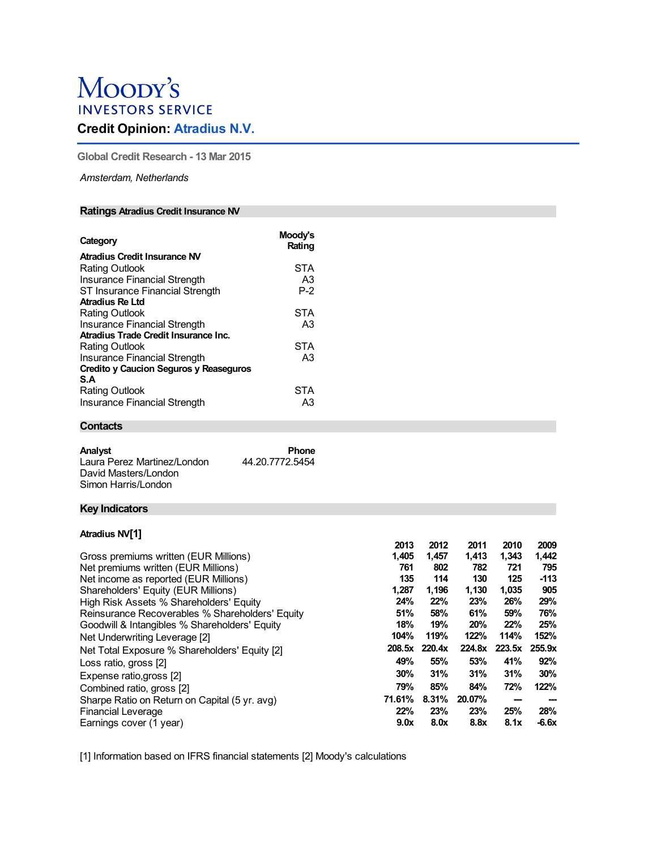# Moody's **INVESTORS SERVICE**

# **Credit Opinion: Atradius N.V.**

**Global Credit Research - 13 Mar 2015**

*Amsterdam, Netherlands*

# **Ratings Atradius Credit Insurance NV**

| Category                                      | Moody's<br>Rating |
|-----------------------------------------------|-------------------|
| Atradius Credit Insurance NV                  |                   |
| <b>Rating Outlook</b>                         | <b>STA</b>        |
| Insurance Financial Strength                  | A <sub>3</sub>    |
| ST Insurance Financial Strength               | $P-2$             |
| Atradius Re Ltd                               |                   |
| <b>Rating Outlook</b>                         | <b>STA</b>        |
| Insurance Financial Strength                  | A <sub>3</sub>    |
| Atradius Trade Credit Insurance Inc.          |                   |
| Rating Outlook                                | STA               |
| Insurance Financial Strength                  | A <sub>3</sub>    |
| <b>Credito y Caucion Seguros y Reaseguros</b> |                   |
| S.A                                           |                   |
| <b>Rating Outlook</b>                         | STA               |
| Insurance Financial Strength                  | A3                |

# **Contacts**

| Analyst                     | <b>Phone</b>    |
|-----------------------------|-----------------|
| Laura Perez Martinez/London | 44.20.7772.5454 |
| David Masters/London        |                 |
| Simon Harris/London         |                 |

# **Key Indicators**

# **Atradius NV[1]**

|                                                 | 2013   | 2012   | 2011   | 2010   | 2009    |
|-------------------------------------------------|--------|--------|--------|--------|---------|
| Gross premiums written (EUR Millions)           | 1.405  | 1,457  | 1.413  | 1,343  | 1,442   |
| Net premiums written (EUR Millions)             | 761    | 802    | 782    | 721    | 795     |
| Net income as reported (EUR Millions)           | 135    | 114    | 130    | 125    | $-113$  |
| Shareholders' Equity (EUR Millions)             | 1.287  | 1.196  | 1.130  | 1,035  | 905     |
| High Risk Assets % Shareholders' Equity         | 24%    | 22%    | 23%    | 26%    | 29%     |
| Reinsurance Recoverables % Shareholders' Equity | 51%    | 58%    | 61%    | 59%    | 76%     |
| Goodwill & Intangibles % Shareholders' Equity   | 18%    | 19%    | 20%    | 22%    | 25%     |
| Net Underwriting Leverage [2]                   | 104%   | 119%   | 122%   | 114%   | 152%    |
| Net Total Exposure % Shareholders' Equity [2]   | 208.5x | 220.4x | 224.8x | 223.5x | 255.9x  |
| Loss ratio, gross [2]                           | 49%    | 55%    | 53%    | 41%    | 92%     |
| Expense ratio, gross [2]                        | 30%    | 31%    | 31%    | 31%    | 30%     |
| Combined ratio, gross [2]                       | 79%    | 85%    | 84%    | 72%    | 122%    |
| Sharpe Ratio on Return on Capital (5 yr. avg)   | 71.61% | 8.31%  | 20.07% | ---    |         |
| <b>Financial Leverage</b>                       | 22%    | 23%    | 23%    | 25%    | 28%     |
| Earnings cover (1 year)                         | 9.0x   | 8.0x   | 8.8x   | 8.1x   | $-6.6x$ |

[1] Information based on IFRS financial statements [2] Moody's calculations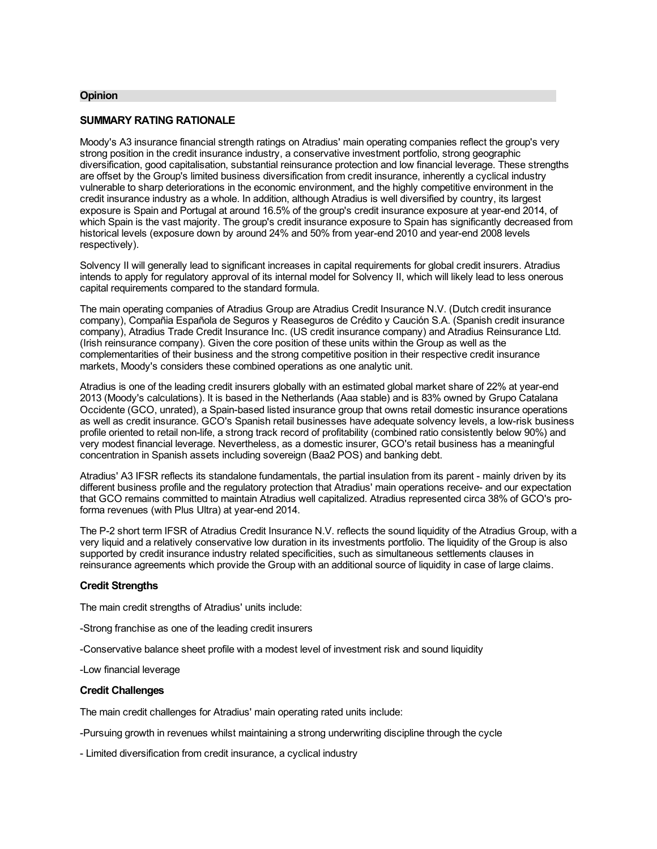#### **Opinion**

### **SUMMARY RATING RATIONALE**

Moody's A3 insurance financial strength ratings on Atradius' main operating companies reflect the group's very strong position in the credit insurance industry, a conservative investment portfolio, strong geographic diversification, good capitalisation, substantial reinsurance protection and low financial leverage. These strengths are offset by the Group's limited business diversification from credit insurance, inherently a cyclical industry vulnerable to sharp deteriorations in the economic environment, and the highly competitive environment in the credit insurance industry as a whole. In addition, although Atradius is well diversified by country, its largest exposure is Spain and Portugal at around 16.5% of the group's credit insurance exposure at year-end 2014, of which Spain is the vast majority. The group's credit insurance exposure to Spain has significantly decreased from historical levels (exposure down by around 24% and 50% from year-end 2010 and year-end 2008 levels respectively).

Solvency II will generally lead to significant increases in capital requirements for global credit insurers. Atradius intends to apply for regulatory approval of its internal model for Solvency II, which will likely lead to less onerous capital requirements compared to the standard formula.

The main operating companies of Atradius Group are Atradius Credit Insurance N.V. (Dutch credit insurance company), Compañia Española de Seguros y Reaseguros de Crédito y Caución S.A. (Spanish credit insurance company), Atradius Trade Credit Insurance Inc. (US credit insurance company) and Atradius Reinsurance Ltd. (Irish reinsurance company). Given the core position of these units within the Group as well as the complementarities of their business and the strong competitive position in their respective credit insurance markets, Moody's considers these combined operations as one analytic unit.

Atradius is one of the leading credit insurers globally with an estimated global market share of 22% at year-end 2013 (Moody's calculations). It is based in the Netherlands (Aaa stable) and is 83% owned by Grupo Catalana Occidente (GCO, unrated), a Spain-based listed insurance group that owns retail domestic insurance operations as well as credit insurance. GCO's Spanish retail businesses have adequate solvency levels, a low-risk business profile oriented to retail non-life, a strong track record of profitability (combined ratio consistently below 90%) and very modest financial leverage. Nevertheless, as a domestic insurer, GCO's retail business has a meaningful concentration in Spanish assets including sovereign (Baa2 POS) and banking debt.

Atradius' A3 IFSR reflects its standalone fundamentals, the partial insulation from its parent - mainly driven by its different business profile and the regulatory protection that Atradius' main operations receive- and our expectation that GCO remains committed to maintain Atradius well capitalized. Atradius represented circa 38% of GCO's proforma revenues (with Plus Ultra) at year-end 2014.

The P-2 short term IFSR of Atradius Credit Insurance N.V. reflects the sound liquidity of the Atradius Group, with a very liquid and a relatively conservative low duration in its investments portfolio. The liquidity of the Group is also supported by credit insurance industry related specificities, such as simultaneous settlements clauses in reinsurance agreements which provide the Group with an additional source of liquidity in case of large claims.

#### **Credit Strengths**

The main credit strengths of Atradius' units include:

-Strong franchise as one of the leading credit insurers

-Conservative balance sheet profile with a modest level of investment risk and sound liquidity

-Low financial leverage

#### **Credit Challenges**

The main credit challenges for Atradius' main operating rated units include:

-Pursuing growth in revenues whilst maintaining a strong underwriting discipline through the cycle

- Limited diversification from credit insurance, a cyclical industry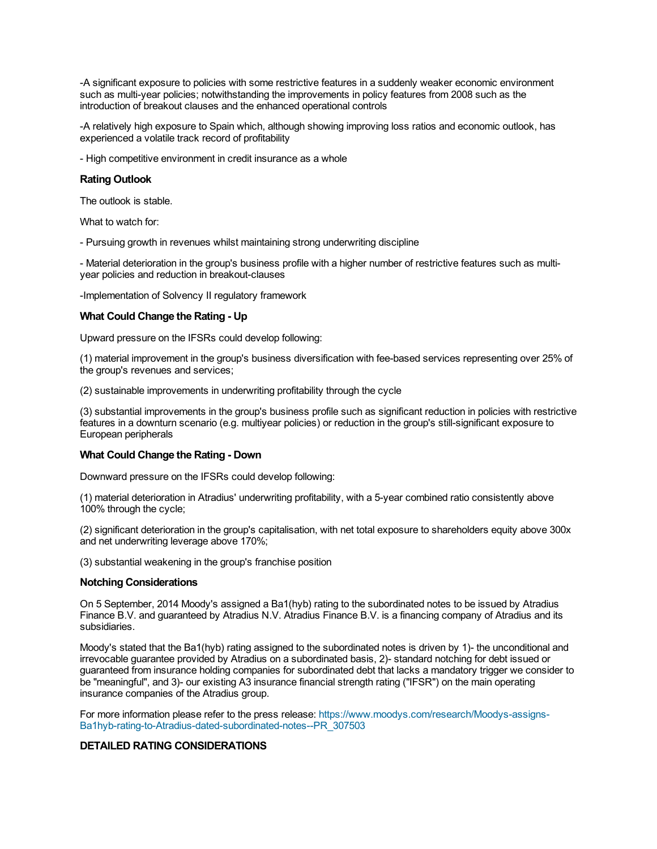-A significant exposure to policies with some restrictive features in a suddenly weaker economic environment such as multi-year policies; notwithstanding the improvements in policy features from 2008 such as the introduction of breakout clauses and the enhanced operational controls

-A relatively high exposure to Spain which, although showing improving loss ratios and economic outlook, has experienced a volatile track record of profitability

- High competitive environment in credit insurance as a whole

#### **Rating Outlook**

The outlook is stable.

What to watch for:

- Pursuing growth in revenues whilst maintaining strong underwriting discipline

- Material deterioration in the group's business profile with a higher number of restrictive features such as multiyear policies and reduction in breakout-clauses

-Implementation of Solvency II regulatory framework

#### **What Could Change the Rating - Up**

Upward pressure on the IFSRs could develop following:

(1) material improvement in the group's business diversification with fee-based services representing over 25% of the group's revenues and services;

(2) sustainable improvements in underwriting profitability through the cycle

(3) substantial improvements in the group's business profile such as significant reduction in policies with restrictive features in a downturn scenario (e.g. multiyear policies) or reduction in the group's still-significant exposure to European peripherals

#### **What Could Change the Rating - Down**

Downward pressure on the IFSRs could develop following:

(1) material deterioration in Atradius' underwriting profitability, with a 5-year combined ratio consistently above 100% through the cycle;

(2) significant deterioration in the group's capitalisation, with net total exposure to shareholders equity above 300x and net underwriting leverage above 170%;

(3) substantial weakening in the group's franchise position

#### **Notching Considerations**

On 5 September, 2014 Moody's assigned a Ba1(hyb) rating to the subordinated notes to be issued by Atradius Finance B.V. and guaranteed by Atradius N.V. Atradius Finance B.V. is a financing company of Atradius and its subsidiaries.

Moody's stated that the Ba1(hyb) rating assigned to the subordinated notes is driven by 1)- the unconditional and irrevocable guarantee provided by Atradius on a subordinated basis, 2)- standard notching for debt issued or guaranteed from insurance holding companies for subordinated debt that lacks a mandatory trigger we consider to be "meaningful", and 3)- our existing A3 insurance financial strength rating ("IFSR") on the main operating insurance companies of the Atradius group.

For more information please refer to the press release: https://www.moodys.com/research/Moodys-assigns-[Ba1hyb-rating-to-Atradius-dated-subordinated-notes--PR\\_307503](https://www.moodys.com/research/Moodys-assigns-Ba1hyb-rating-to-Atradius-dated-subordinated-notes--PR_307503)

## **DETAILED RATING CONSIDERATIONS**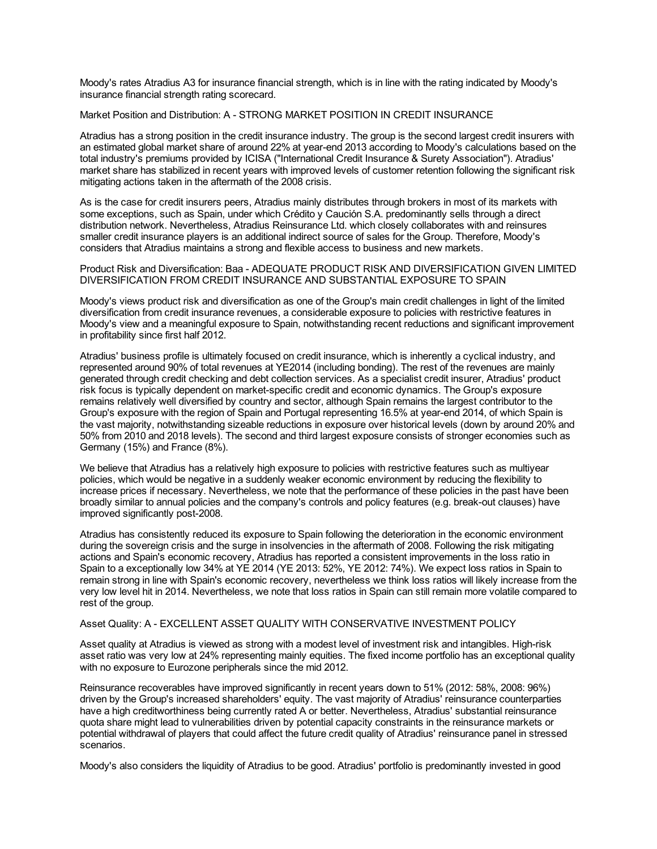Moody's rates Atradius A3 for insurance financial strength, which is in line with the rating indicated by Moody's insurance financial strength rating scorecard.

#### Market Position and Distribution: A - STRONG MARKET POSITION IN CREDIT INSURANCE

Atradius has a strong position in the credit insurance industry. The group is the second largest credit insurers with an estimated global market share of around 22% at year-end 2013 according to Moody's calculations based on the total industry's premiums provided by ICISA ("International Credit Insurance & Surety Association"). Atradius' market share has stabilized in recent years with improved levels of customer retention following the significant risk mitigating actions taken in the aftermath of the 2008 crisis.

As is the case for credit insurers peers, Atradius mainly distributes through brokers in most of its markets with some exceptions, such as Spain, under which Crédito y Caución S.A. predominantly sells through a direct distribution network. Nevertheless, Atradius Reinsurance Ltd. which closely collaborates with and reinsures smaller credit insurance players is an additional indirect source of sales for the Group. Therefore, Moody's considers that Atradius maintains a strong and flexible access to business and new markets.

#### Product Risk and Diversification: Baa - ADEQUATE PRODUCT RISK AND DIVERSIFICATION GIVEN LIMITED DIVERSIFICATION FROM CREDIT INSURANCE AND SUBSTANTIAL EXPOSURE TO SPAIN

Moody's views product risk and diversification as one of the Group's main credit challenges in light of the limited diversification from credit insurance revenues, a considerable exposure to policies with restrictive features in Moody's view and a meaningful exposure to Spain, notwithstanding recent reductions and significant improvement in profitability since first half 2012.

Atradius' business profile is ultimately focused on credit insurance, which is inherently a cyclical industry, and represented around 90% of total revenues at YE2014 (including bonding). The rest of the revenues are mainly generated through credit checking and debt collection services. As a specialist credit insurer, Atradius' product risk focus is typically dependent on market-specific credit and economic dynamics. The Group's exposure remains relatively well diversified by country and sector, although Spain remains the largest contributor to the Group's exposure with the region of Spain and Portugal representing 16.5% at year-end 2014, of which Spain is the vast majority, notwithstanding sizeable reductions in exposure over historical levels (down by around 20% and 50% from 2010 and 2018 levels). The second and third largest exposure consists of stronger economies such as Germany (15%) and France (8%).

We believe that Atradius has a relatively high exposure to policies with restrictive features such as multiyear policies, which would be negative in a suddenly weaker economic environment by reducing the flexibility to increase prices if necessary. Nevertheless, we note that the performance of these policies in the past have been broadly similar to annual policies and the company's controls and policy features (e.g. break-out clauses) have improved significantly post-2008.

Atradius has consistently reduced its exposure to Spain following the deterioration in the economic environment during the sovereign crisis and the surge in insolvencies in the aftermath of 2008. Following the risk mitigating actions and Spain's economic recovery, Atradius has reported a consistent improvements in the loss ratio in Spain to a exceptionally low 34% at YE 2014 (YE 2013: 52%, YE 2012: 74%). We expect loss ratios in Spain to remain strong in line with Spain's economic recovery, nevertheless we think loss ratios will likely increase from the very low level hit in 2014. Nevertheless, we note that loss ratios in Spain can still remain more volatile compared to rest of the group.

#### Asset Quality: A - EXCELLENT ASSET QUALITY WITH CONSERVATIVE INVESTMENT POLICY

Asset quality at Atradius is viewed as strong with a modest level of investment risk and intangibles. High-risk asset ratio was very low at 24% representing mainly equities. The fixed income portfolio has an exceptional quality with no exposure to Eurozone peripherals since the mid 2012.

Reinsurance recoverables have improved significantly in recent years down to 51% (2012: 58%, 2008: 96%) driven by the Group's increased shareholders' equity. The vast majority of Atradius' reinsurance counterparties have a high creditworthiness being currently rated A or better. Nevertheless, Atradius' substantial reinsurance quota share might lead to vulnerabilities driven by potential capacity constraints in the reinsurance markets or potential withdrawal of players that could affect the future credit quality of Atradius' reinsurance panel in stressed scenarios.

Moody's also considers the liquidity of Atradius to be good. Atradius' portfolio is predominantly invested in good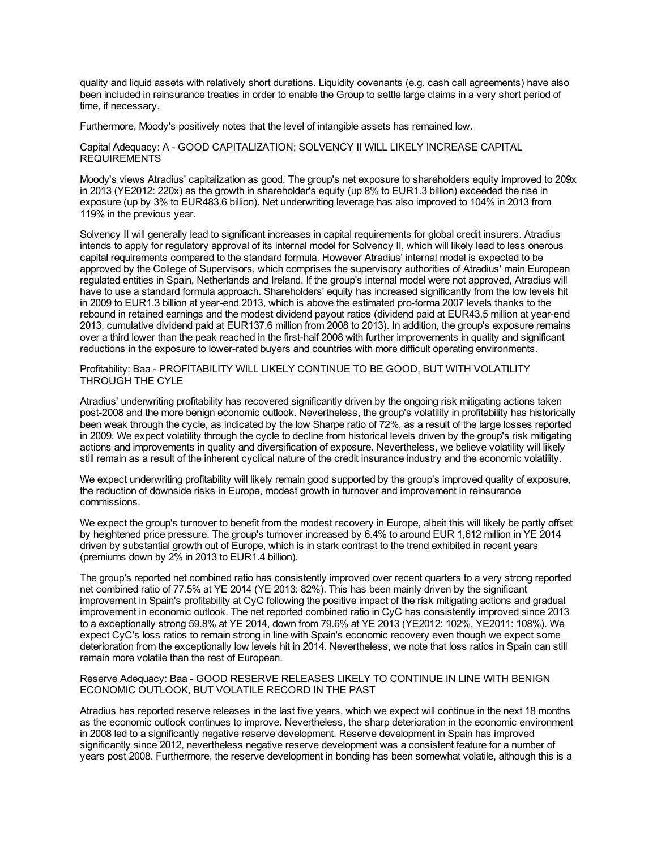quality and liquid assets with relatively short durations. Liquidity covenants (e.g. cash call agreements) have also been included in reinsurance treaties in order to enable the Group to settle large claims in a very short period of time, if necessary.

Furthermore, Moody's positively notes that the level of intangible assets has remained low.

#### Capital Adequacy: A - GOOD CAPITALIZATION; SOLVENCY II WILL LIKELY INCREASE CAPITAL REQUIREMENTS

Moody's views Atradius' capitalization as good. The group's net exposure to shareholders equity improved to 209x in 2013 (YE2012: 220x) as the growth in shareholder's equity (up 8% to EUR1.3 billion) exceeded the rise in exposure (up by 3% to EUR483.6 billion). Net underwriting leverage has also improved to 104% in 2013 from 119% in the previous year.

Solvency II will generally lead to significant increases in capital requirements for global credit insurers. Atradius intends to apply for regulatory approval of its internal model for Solvency II, which will likely lead to less onerous capital requirements compared to the standard formula. However Atradius' internal model is expected to be approved by the College of Supervisors, which comprises the supervisory authorities of Atradius' main European regulated entities in Spain, Netherlands and Ireland. If the group's internal model were not approved, Atradius will have to use a standard formula approach. Shareholders' equity has increased significantly from the low levels hit in 2009 to EUR1.3 billion at year-end 2013, which is above the estimated pro-forma 2007 levels thanks to the rebound in retained earnings and the modest dividend payout ratios (dividend paid at EUR43.5 million at year-end 2013, cumulative dividend paid at EUR137.6 million from 2008 to 2013). In addition, the group's exposure remains over a third lower than the peak reached in the first-half 2008 with further improvements in quality and significant reductions in the exposure to lower-rated buyers and countries with more difficult operating environments.

Profitability: Baa - PROFITABILITY WILL LIKELY CONTINUE TO BE GOOD, BUT WITH VOLATILITY THROUGH THE CYLE

Atradius' underwriting profitability has recovered significantly driven by the ongoing risk mitigating actions taken post-2008 and the more benign economic outlook. Nevertheless, the group's volatility in profitability has historically been weak through the cycle, as indicated by the low Sharpe ratio of 72%, as a result of the large losses reported in 2009. We expect volatility through the cycle to decline from historical levels driven by the group's risk mitigating actions and improvements in quality and diversification of exposure. Nevertheless, we believe volatility will likely still remain as a result of the inherent cyclical nature of the credit insurance industry and the economic volatility.

We expect underwriting profitability will likely remain good supported by the group's improved quality of exposure, the reduction of downside risks in Europe, modest growth in turnover and improvement in reinsurance commissions.

We expect the group's turnover to benefit from the modest recovery in Europe, albeit this will likely be partly offset by heightened price pressure. The group's turnover increased by 6.4% to around EUR 1,612 million in YE 2014 driven by substantial growth out of Europe, which is in stark contrast to the trend exhibited in recent years (premiums down by 2% in 2013 to EUR1.4 billion).

The group's reported net combined ratio has consistently improved over recent quarters to a very strong reported net combined ratio of 77.5% at YE 2014 (YE 2013: 82%). This has been mainly driven by the significant improvement in Spain's profitability at CyC following the positive impact of the risk mitigating actions and gradual improvement in economic outlook. The net reported combined ratio in CyC has consistently improved since 2013 to a exceptionally strong 59.8% at YE 2014, down from 79.6% at YE 2013 (YE2012: 102%, YE2011: 108%). We expect CyC's loss ratios to remain strong in line with Spain's economic recovery even though we expect some deterioration from the exceptionally low levels hit in 2014. Nevertheless, we note that loss ratios in Spain can still remain more volatile than the rest of European.

#### Reserve Adequacy: Baa - GOOD RESERVE RELEASES LIKELY TO CONTINUE IN LINE WITH BENIGN ECONOMIC OUTLOOK, BUT VOLATILE RECORD IN THE PAST

Atradius has reported reserve releases in the last five years, which we expect will continue in the next 18 months as the economic outlook continues to improve. Nevertheless, the sharp deterioration in the economic environment in 2008 led to a significantly negative reserve development. Reserve development in Spain has improved significantly since 2012, nevertheless negative reserve development was a consistent feature for a number of years post 2008. Furthermore, the reserve development in bonding has been somewhat volatile, although this is a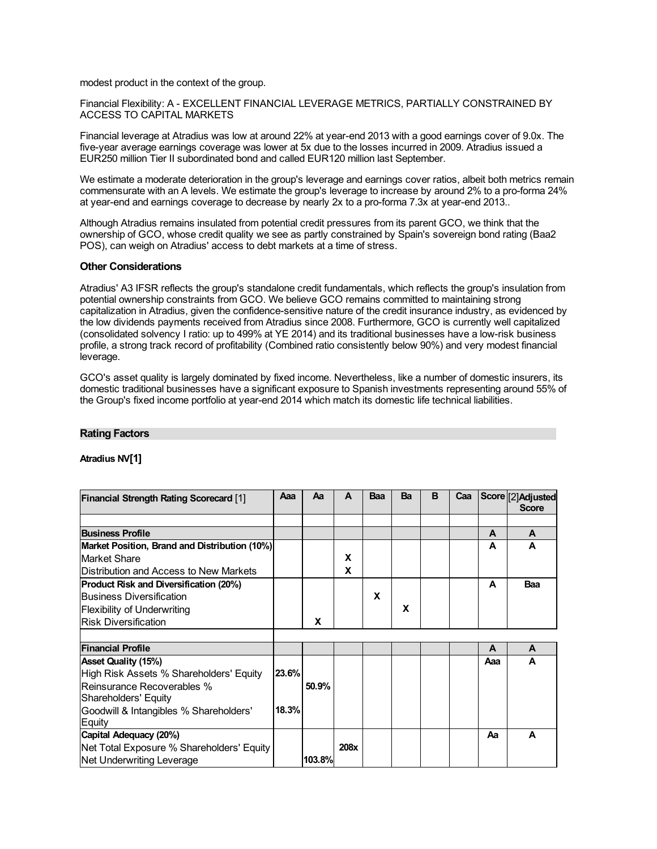modest product in the context of the group.

Financial Flexibility: A - EXCELLENT FINANCIAL LEVERAGE METRICS, PARTIALLY CONSTRAINED BY ACCESS TO CAPITAL MARKETS

Financial leverage at Atradius was low at around 22% at year-end 2013 with a good earnings cover of 9.0x. The five-year average earnings coverage was lower at 5x due to the losses incurred in 2009. Atradius issued a EUR250 million Tier II subordinated bond and called EUR120 million last September.

We estimate a moderate deterioration in the group's leverage and earnings cover ratios, albeit both metrics remain commensurate with an A levels. We estimate the group's leverage to increase by around 2% to a pro-forma 24% at year-end and earnings coverage to decrease by nearly 2x to a pro-forma 7.3x at year-end 2013..

Although Atradius remains insulated from potential credit pressures from its parent GCO, we think that the ownership of GCO, whose credit quality we see as partly constrained by Spain's sovereign bond rating (Baa2 POS), can weigh on Atradius' access to debt markets at a time of stress.

#### **Other Considerations**

Atradius' A3 IFSR reflects the group's standalone credit fundamentals, which reflects the group's insulation from potential ownership constraints from GCO. We believe GCO remains committed to maintaining strong capitalization in Atradius, given the confidence-sensitive nature of the credit insurance industry, as evidenced by the low dividends payments received from Atradius since 2008. Furthermore, GCO is currently well capitalized (consolidated solvency I ratio: up to 499% at YE 2014) and its traditional businesses have a low-risk business profile, a strong track record of profitability (Combined ratio consistently below 90%) and very modest financial leverage.

GCO's asset quality is largely dominated by fixed income. Nevertheless, like a number of domestic insurers, its domestic traditional businesses have a significant exposure to Spanish investments representing around 55% of the Group's fixed income portfolio at year-end 2014 which match its domestic life technical liabilities.

#### **Rating Factors**

#### **Atradius NV[1]**

| <b>Financial Strength Rating Scorecard [1]</b> | Aaa   | Aа     | A    | Baa | Ba | B | Caa |     | Score [2] Adjusted<br><b>Score</b> |
|------------------------------------------------|-------|--------|------|-----|----|---|-----|-----|------------------------------------|
|                                                |       |        |      |     |    |   |     |     |                                    |
| <b>Business Profile</b>                        |       |        |      |     |    |   |     | A   | A                                  |
| Market Position, Brand and Distribution (10%)  |       |        |      |     |    |   |     | A   | A                                  |
| Market Share                                   |       |        | X    |     |    |   |     |     |                                    |
| <b>IDistribution and Access to New Markets</b> |       |        | X    |     |    |   |     |     |                                    |
| <b>Product Risk and Diversification (20%)</b>  |       |        |      |     |    |   |     | A   | Baa                                |
| Business Diversification                       |       |        |      | X   |    |   |     |     |                                    |
| <b>Flexibility of Underwriting</b>             |       |        |      |     | x  |   |     |     |                                    |
| <b>Risk Diversification</b>                    |       | X      |      |     |    |   |     |     |                                    |
|                                                |       |        |      |     |    |   |     |     |                                    |
| <b>Financial Profile</b>                       |       |        |      |     |    |   |     | A   | A                                  |
| <b>Asset Quality (15%)</b>                     |       |        |      |     |    |   |     | Aaa | A                                  |
| High Risk Assets % Shareholders' Equity        | 23.6% |        |      |     |    |   |     |     |                                    |
| Reinsurance Recoverables %                     |       | 50.9%  |      |     |    |   |     |     |                                    |
| Shareholders' Equity                           |       |        |      |     |    |   |     |     |                                    |
| Goodwill & Intangibles % Shareholders'         | 18.3% |        |      |     |    |   |     |     |                                    |
| Equity                                         |       |        |      |     |    |   |     |     |                                    |
| Capital Adequacy (20%)                         |       |        |      |     |    |   |     | Aа  | A                                  |
| Net Total Exposure % Shareholders' Equity      |       |        | 208x |     |    |   |     |     |                                    |
| Net Underwriting Leverage                      |       | 103.8% |      |     |    |   |     |     |                                    |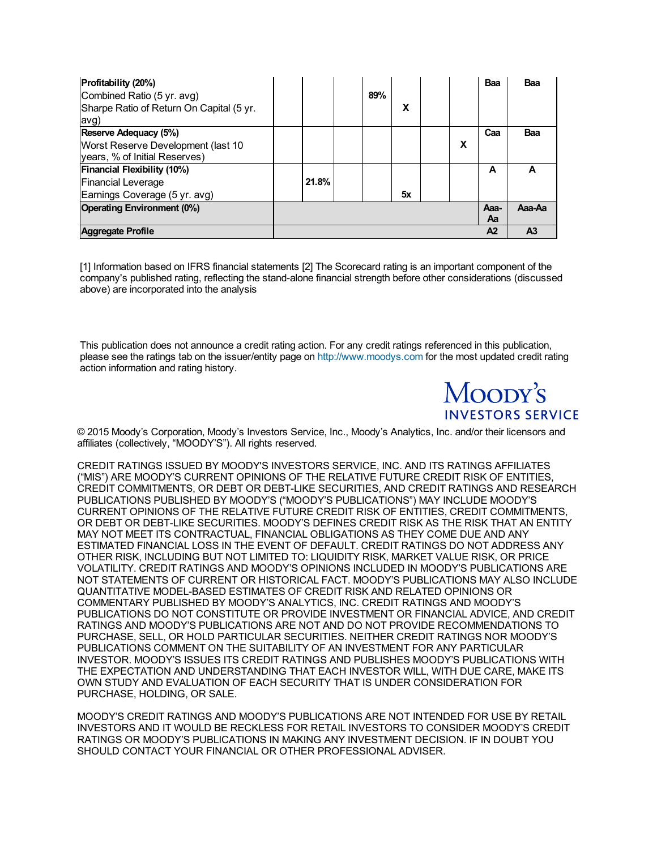| Profitability (20%)                      |       |     |    |   | Baa            | Baa            |
|------------------------------------------|-------|-----|----|---|----------------|----------------|
| Combined Ratio (5 yr. avg)               |       | 89% |    |   |                |                |
| Sharpe Ratio of Return On Capital (5 yr. |       |     | X  |   |                |                |
| avg)                                     |       |     |    |   |                |                |
| Reserve Adequacy (5%)                    |       |     |    |   | Caa            | Baa            |
| Worst Reserve Development (last 10       |       |     |    | X |                |                |
| years, % of Initial Reserves)            |       |     |    |   |                |                |
| <b>Financial Flexibility (10%)</b>       |       |     |    |   | A              | A              |
| <b>Financial Leverage</b>                | 21.8% |     |    |   |                |                |
| Earnings Coverage (5 yr. avg)            |       |     | 5x |   |                |                |
| <b>Operating Environment (0%)</b>        |       |     |    |   | Aaa-           | Aaa-Aa         |
|                                          |       |     |    |   | Aa             |                |
| <b>Aggregate Profile</b>                 |       |     |    |   | A <sub>2</sub> | A <sub>3</sub> |

[1] Information based on IFRS financial statements [2] The Scorecard rating is an important component of the company's published rating, reflecting the stand-alone financial strength before other considerations (discussed above) are incorporated into the analysis

This publication does not announce a credit rating action. For any credit ratings referenced in this publication, please see the ratings tab on the issuer/entity page on [http://www.moodys.com](http://www.moodys.com/) for the most updated credit rating action information and rating history.

> Moody's **INVESTORS SERVICE**

© 2015 Moody's Corporation, Moody's Investors Service, Inc., Moody's Analytics, Inc. and/or their licensors and affiliates (collectively, "MOODY'S"). All rights reserved.

CREDIT RATINGS ISSUED BY MOODY'S INVESTORS SERVICE, INC. AND ITS RATINGS AFFILIATES ("MIS") ARE MOODY'S CURRENT OPINIONS OF THE RELATIVE FUTURE CREDIT RISK OF ENTITIES, CREDIT COMMITMENTS, OR DEBT OR DEBT-LIKE SECURITIES, AND CREDIT RATINGS AND RESEARCH PUBLICATIONS PUBLISHED BY MOODY'S ("MOODY'S PUBLICATIONS") MAY INCLUDE MOODY'S CURRENT OPINIONS OF THE RELATIVE FUTURE CREDIT RISK OF ENTITIES, CREDIT COMMITMENTS, OR DEBT OR DEBT-LIKE SECURITIES. MOODY'S DEFINES CREDIT RISK AS THE RISK THAT AN ENTITY MAY NOT MEET ITS CONTRACTUAL, FINANCIAL OBLIGATIONS AS THEY COME DUE AND ANY ESTIMATED FINANCIAL LOSS IN THE EVENT OF DEFAULT. CREDIT RATINGS DO NOT ADDRESS ANY OTHER RISK, INCLUDING BUT NOT LIMITED TO: LIQUIDITY RISK, MARKET VALUE RISK, OR PRICE VOLATILITY. CREDIT RATINGS AND MOODY'S OPINIONS INCLUDED IN MOODY'S PUBLICATIONS ARE NOT STATEMENTS OF CURRENT OR HISTORICAL FACT. MOODY'S PUBLICATIONS MAY ALSO INCLUDE QUANTITATIVE MODEL-BASED ESTIMATES OF CREDIT RISK AND RELATED OPINIONS OR COMMENTARY PUBLISHED BY MOODY'S ANALYTICS, INC. CREDIT RATINGS AND MOODY'S PUBLICATIONS DO NOT CONSTITUTE OR PROVIDE INVESTMENT OR FINANCIAL ADVICE, AND CREDIT RATINGS AND MOODY'S PUBLICATIONS ARE NOT AND DO NOT PROVIDE RECOMMENDATIONS TO PURCHASE, SELL, OR HOLD PARTICULAR SECURITIES. NEITHER CREDIT RATINGS NOR MOODY'S PUBLICATIONS COMMENT ON THE SUITABILITY OF AN INVESTMENT FOR ANY PARTICULAR INVESTOR. MOODY'S ISSUES ITS CREDIT RATINGS AND PUBLISHES MOODY'S PUBLICATIONS WITH THE EXPECTATION AND UNDERSTANDING THAT EACH INVESTOR WILL, WITH DUE CARE, MAKE ITS OWN STUDY AND EVALUATION OF EACH SECURITY THAT IS UNDER CONSIDERATION FOR PURCHASE, HOLDING, OR SALE.

MOODY'S CREDIT RATINGS AND MOODY'S PUBLICATIONS ARE NOT INTENDED FOR USE BY RETAIL INVESTORS AND IT WOULD BE RECKLESS FOR RETAIL INVESTORS TO CONSIDER MOODY'S CREDIT RATINGS OR MOODY'S PUBLICATIONS IN MAKING ANY INVESTMENT DECISION. IF IN DOUBT YOU SHOULD CONTACT YOUR FINANCIAL OR OTHER PROFESSIONAL ADVISER.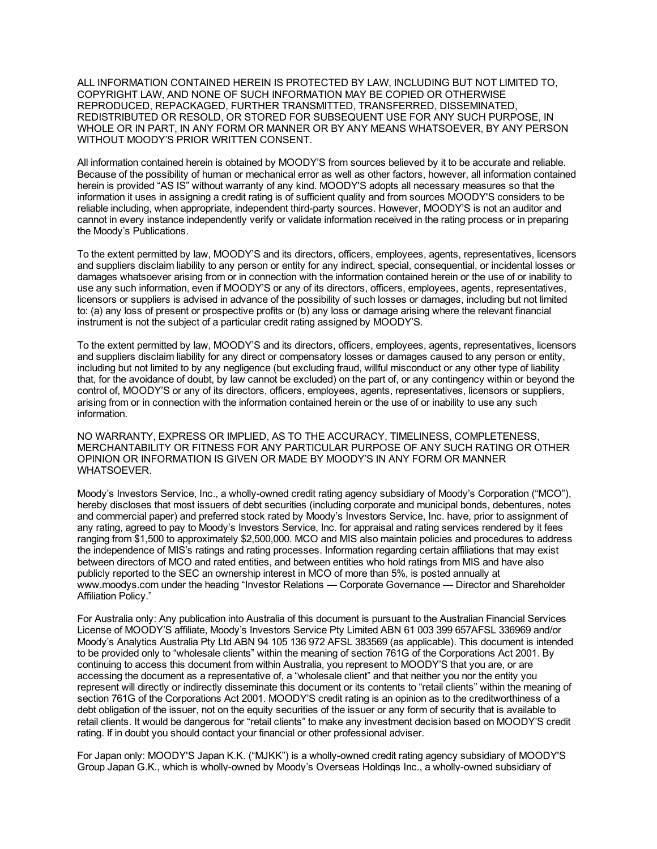ALL INFORMATION CONTAINED HEREIN IS PROTECTED BY LAW, INCLUDING BUT NOT LIMITED TO, COPYRIGHT LAW, AND NONE OF SUCH INFORMATION MAY BE COPIED OR OTHERWISE REPRODUCED, REPACKAGED, FURTHER TRANSMITTED, TRANSFERRED, DISSEMINATED, REDISTRIBUTED OR RESOLD, OR STORED FOR SUBSEQUENT USE FOR ANY SUCH PURPOSE, IN WHOLE OR IN PART, IN ANY FORM OR MANNER OR BY ANY MEANS WHATSOEVER, BY ANY PERSON WITHOUT MOODY'S PRIOR WRITTEN CONSENT.

All information contained herein is obtained by MOODY'S from sources believed by it to be accurate and reliable. Because of the possibility of human or mechanical error as well as other factors, however, all information contained herein is provided "AS IS" without warranty of any kind. MOODY'S adopts all necessary measures so that the information it uses in assigning a credit rating is of sufficient quality and from sources MOODY'S considers to be reliable including, when appropriate, independent third-party sources. However, MOODY'S is not an auditor and cannot in every instance independently verify or validate information received in the rating process or in preparing the Moody's Publications.

To the extent permitted by law, MOODY'S and its directors, officers, employees, agents, representatives, licensors and suppliers disclaim liability to any person or entity for any indirect, special, consequential, or incidental losses or damages whatsoever arising from or in connection with the information contained herein or the use of or inability to use any such information, even if MOODY'S or any of its directors, officers, employees, agents, representatives, licensors or suppliers is advised in advance of the possibility of such losses or damages, including but not limited to: (a) any loss of present or prospective profits or (b) any loss or damage arising where the relevant financial instrument is not the subject of a particular credit rating assigned by MOODY'S.

To the extent permitted by law, MOODY'S and its directors, officers, employees, agents, representatives, licensors and suppliers disclaim liability for any direct or compensatory losses or damages caused to any person or entity, including but not limited to by any negligence (but excluding fraud, willful misconduct or any other type of liability that, for the avoidance of doubt, by law cannot be excluded) on the part of, or any contingency within or beyond the control of, MOODY'S or any of its directors, officers, employees, agents, representatives, licensors or suppliers, arising from or in connection with the information contained herein or the use of or inability to use any such information.

NO WARRANTY, EXPRESS OR IMPLIED, AS TO THE ACCURACY, TIMELINESS, COMPLETENESS, MERCHANTABILITY OR FITNESS FOR ANY PARTICULAR PURPOSE OF ANY SUCH RATING OR OTHER OPINION OR INFORMATION IS GIVEN OR MADE BY MOODY'S IN ANY FORM OR MANNER WHATSOEVER.

Moody's Investors Service, Inc., a wholly-owned credit rating agency subsidiary of Moody's Corporation ("MCO"), hereby discloses that most issuers of debt securities (including corporate and municipal bonds, debentures, notes and commercial paper) and preferred stock rated by Moody's Investors Service, Inc. have, prior to assignment of any rating, agreed to pay to Moody's Investors Service, Inc. for appraisal and rating services rendered by it fees ranging from \$1,500 to approximately \$2,500,000. MCO and MIS also maintain policies and procedures to address the independence of MIS's ratings and rating processes. Information regarding certain affiliations that may exist between directors of MCO and rated entities, and between entities who hold ratings from MIS and have also publicly reported to the SEC an ownership interest in MCO of more than 5%, is posted annually at www.moodys.com under the heading "Investor Relations — Corporate Governance — Director and Shareholder Affiliation Policy."

For Australia only: Any publication into Australia of this document is pursuant to the Australian Financial Services License of MOODY'S affiliate, Moody's Investors Service Pty Limited ABN 61 003 399 657AFSL 336969 and/or Moody's Analytics Australia Pty Ltd ABN 94 105 136 972 AFSL 383569 (as applicable). This document is intended to be provided only to "wholesale clients" within the meaning of section 761G of the Corporations Act 2001. By continuing to access this document from within Australia, you represent to MOODY'S that you are, or are accessing the document as a representative of, a "wholesale client" and that neither you nor the entity you represent will directly or indirectly disseminate this document or its contents to "retail clients" within the meaning of section 761G of the Corporations Act 2001. MOODY'S credit rating is an opinion as to the creditworthiness of a debt obligation of the issuer, not on the equity securities of the issuer or any form of security that is available to retail clients. It would be dangerous for "retail clients" to make any investment decision based on MOODY'S credit rating. If in doubt you should contact your financial or other professional adviser.

For Japan only: MOODY'S Japan K.K. ("MJKK") is a wholly-owned credit rating agency subsidiary of MOODY'S Group Japan G.K., which is wholly-owned by Moody's Overseas Holdings Inc., a wholly-owned subsidiary of